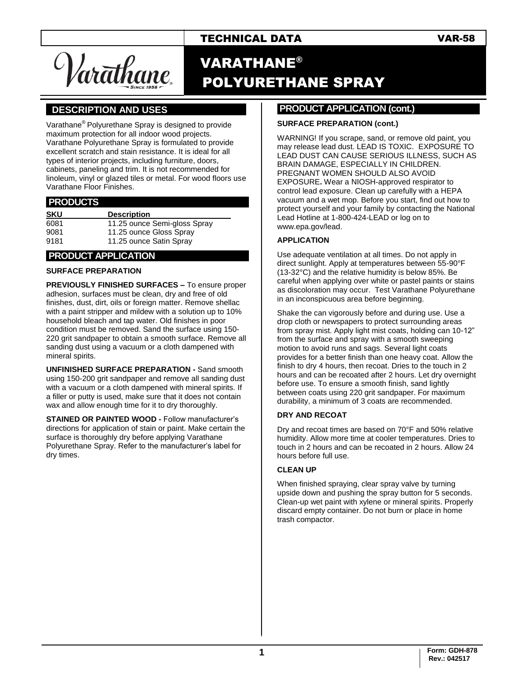# TECHNICAL DATA VAR-58

*l*ar<del>a</del>thane

# VARATHANE® POLYURETHANE SPRAY

# **].DESCRIPTION AND USES .**

Varathane® Polyurethane Spray is designed to provide maximum protection for all indoor wood projects. Varathane Polyurethane Spray is formulated to provide excellent scratch and stain resistance. It is ideal for all types of interior projects, including furniture, doors, cabinets, paneling and trim. It is not recommended for linoleum, vinyl or glazed tiles or metal. For wood floors use Varathane Floor Finishes.

### **.PRODUCTS .**

| <b>SKU</b> | <b>Description</b>           |
|------------|------------------------------|
| 6081       | 11.25 ounce Semi-gloss Spray |
| 9081       | 11.25 ounce Gloss Spray      |
| 9181       | 11.25 ounce Satin Spray      |

### **.PRODUCT APPLICATION .**

#### **SURFACE PREPARATION**

**PREVIOUSLY FINISHED SURFACES –** To ensure proper adhesion, surfaces must be clean, dry and free of old finishes, dust, dirt, oils or foreign matter. Remove shellac with a paint stripper and mildew with a solution up to 10% household bleach and tap water. Old finishes in poor condition must be removed. Sand the surface using 150- 220 grit sandpaper to obtain a smooth surface. Remove all sanding dust using a vacuum or a cloth dampened with mineral spirits.

**UNFINISHED SURFACE PREPARATION -** Sand smooth using 150-200 grit sandpaper and remove all sanding dust with a vacuum or a cloth dampened with mineral spirits. If a filler or putty is used, make sure that it does not contain wax and allow enough time for it to dry thoroughly.

**STAINED OR PAINTED WOOD -** Follow manufacturer's directions for application of stain or paint. Make certain the surface is thoroughly dry before applying Varathane Polyurethane Spray. Refer to the manufacturer's label for dry times.

### **PRODUCT APPLICATION (cont.) .**

#### **SURFACE PREPARATION (cont.)**

WARNING! If you scrape, sand, or remove old paint, you may release lead dust. LEAD IS TOXIC. EXPOSURE TO LEAD DUST CAN CAUSE SERIOUS ILLNESS, SUCH AS BRAIN DAMAGE, ESPECIALLY IN CHILDREN. PREGNANT WOMEN SHOULD ALSO AVOID EXPOSURE**.** Wear a NIOSH-approved respirator to control lead exposure. Clean up carefully with a HEPA vacuum and a wet mop. Before you start, find out how to protect yourself and your family by contacting the National Lead Hotline at 1-800-424-LEAD or log on to [www.epa.gov/lead.](http://www.epa.gov/lead)

#### **APPLICATION**

Use adequate ventilation at all times. Do not apply in direct sunlight. Apply at temperatures between 55-90°F (13-32°C) and the relative humidity is below 85%. Be careful when applying over white or pastel paints or stains as discoloration may occur. Test Varathane Polyurethane in an inconspicuous area before beginning.

Shake the can vigorously before and during use. Use a drop cloth or newspapers to protect surrounding areas from spray mist. Apply light mist coats, holding can 10-12" from the surface and spray with a smooth sweeping motion to avoid runs and sags. Several light coats provides for a better finish than one heavy coat. Allow the finish to dry 4 hours, then recoat. Dries to the touch in 2 hours and can be recoated after 2 hours. Let dry overnight before use. To ensure a smooth finish, sand lightly between coats using 220 grit sandpaper. For maximum durability, a minimum of 3 coats are recommended.

#### **DRY AND RECOAT**

Dry and recoat times are based on 70°F and 50% relative humidity. Allow more time at cooler temperatures. Dries to touch in 2 hours and can be recoated in 2 hours. Allow 24 hours before full use.

#### **CLEAN UP**

When finished spraying, clear spray valve by turning upside down and pushing the spray button for 5 seconds. Clean-up wet paint with xylene or mineral spirits. Properly discard empty container. Do not burn or place in home trash compactor.